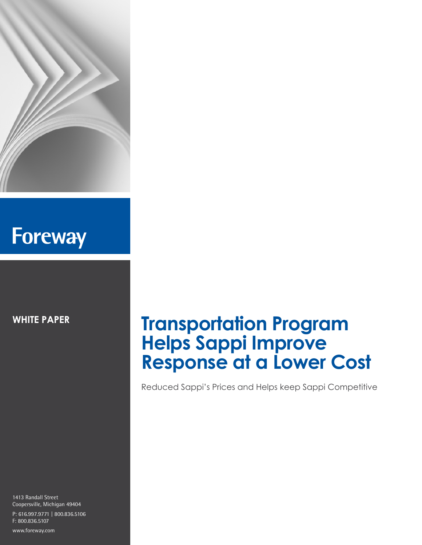

# **Foreway**

**WHITE PAPER**

### 1413 Randall Street Coopersville, Michigan 49404 P: 616.997.9771 | 800.836.5106 F: 800.836.5107

www.foreway.com

## **Transportation Program Helps Sappi Improve Response at a Lower Cost**

Reduced Sappi's Prices and Helps keep Sappi Competitive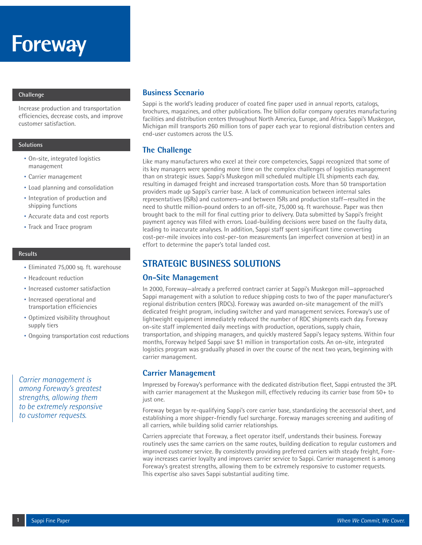## **Foreway**

#### **Challenge**

Increase production and transportation efficiencies, decrease costs, and improve customer satisfaction.

#### **Solutions**

- On-site, integrated logistics management
- Carrier management
- Load planning and consolidation
- Integration of production and shipping functions
- Accurate data and cost reports
- Track and Trace program

#### **Results**

- Eliminated 75,000 sq. ft. warehouse
- Headcount reduction
- Increased customer satisfaction
- Increased operational and transportation efficiencies
- Optimized visibility throughout supply tiers
- Ongoing transportation cost reductions

*Carrier management is among Foreway's greatest strengths, allowing them to be extremely responsive to customer requests.*

## **Business Scenario**

Sappi is the world's leading producer of coated fine paper used in annual reports, catalogs, brochures, magazines, and other publications. The billion dollar company operates manufacturing facilities and distribution centers throughout North America, Europe, and Africa. Sappi's Muskegon, Michigan mill transports 260 million tons of paper each year to regional distribution centers and end-user customers across the U.S.

## **The Challenge**

Like many manufacturers who excel at their core competencies, Sappi recognized that some of its key managers were spending more time on the complex challenges of logistics management than on strategic issues. Sappi's Muskegon mill scheduled multiple LTL shipments each day, resulting in damaged freight and increased transportation costs. More than 50 transportation providers made up Sappi's carrier base. A lack of communication between internal sales representatives (ISRs) and customers—and between ISRs and production staff—resulted in the need to shuttle million-pound orders to an off-site, 75,000 sq. ft warehouse. Paper was then brought back to the mill for final cutting prior to delivery. Data submitted by Sappi's freight payment agency was filled with errors. Load-building decisions were based on the faulty data, leading to inaccurate analyses. In addition, Sappi staff spent significant time converting cost-per-mile invoices into cost-per-ton measurements (an imperfect conversion at best) in an effort to determine the paper's total landed cost.

## **STRATEGIC BUSINESS SOLUTIONS**

#### **On-Site Management**

In 2000, Foreway—already a preferred contract carrier at Sappi's Muskegon mill—approached Sappi management with a solution to reduce shipping costs to two of the paper manufacturer's regional distribution centers (RDCs). Foreway was awarded on-site management of the mill's dedicated freight program, including switcher and yard management services. Foreway's use of lightweight equipment immediately reduced the number of RDC shipments each day. Foreway on-site staff implemented daily meetings with production, operations, supply chain, transportation, and shipping managers, and quickly mastered Sappi's legacy systems. Within four months, Foreway helped Sappi save \$1 million in transportation costs. An on-site, integrated logistics program was gradually phased in over the course of the next two years, beginning with carrier management.

## **Carrier Management**

Impressed by Foreway's performance with the dedicated distribution fleet, Sappi entrusted the 3PL with carrier management at the Muskegon mill, effectively reducing its carrier base from 50+ to just one.

Foreway began by re-qualifying Sappi's core carrier base, standardizing the accessorial sheet, and establishing a more shipper-friendly fuel surcharge. Foreway manages screening and auditing of all carriers, while building solid carrier relationships.

Carriers appreciate that Foreway, a fleet operator itself, understands their business. Foreway routinely uses the same carriers on the same routes, building dedication to regular customers and improved customer service. By consistently providing preferred carriers with steady freight, Foreway increases carrier loyalty and improves carrier service to Sappi. Carrier management is among Foreway's greatest strengths, allowing them to be extremely responsive to customer requests. This expertise also saves Sappi substantial auditing time.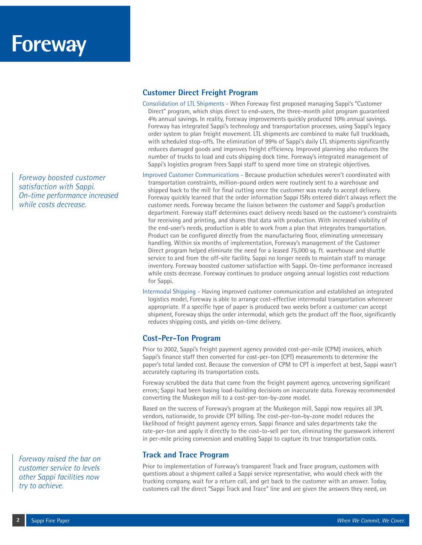*Foreway boosted customer satisfaction with Sappi. On-time performance increased while costs decrease.*

*Foreway raised the bar on customer service to levels other Sappi facilities now try to achieve.*

## **Customer Direct Freight Program**

- Consolidation of LTL Shipments When Foreway first proposed managing Sappi's "Customer Direct" program, which ships direct to end-users, the three-month pilot program guaranteed 4% annual savings. In reality, Foreway improvements quickly produced 10% annual savings. Foreway has integrated Sappi's technology and transportation processes, using Sappi's legacy order system to plan freight movement. LTL shipments are combined to make full truckloads, with scheduled stop-offs. The elimination of 99% of Sappi's daily LTL shipments significantly reduces damaged goods and improves freight efficiency. Improved planning also reduces the number of trucks to load and cuts shipping dock time. Foreway's integrated management of Sappi's logistics program frees Sappi staff to spend more time on strategic objectives.
- Improved Customer Communications Because production schedules weren't coordinated with transportation constraints, million-pound orders were routinely sent to a warehouse and shipped back to the mill for final cutting once the customer was ready to accept delivery. Foreway quickly learned that the order information Sappi ISRs entered didn't always reflect the customer needs. Foreway became the liaison between the customer and Sappi's production department. Foreway staff determines exact delivery needs based on the customer's constraints for receiving and printing, and shares that data with production. With increased visibility of the end-user's needs, production is able to work from a plan that integrates transportation. Product can be configured directly from the manufacturing floor, eliminating unnecessary handling. Within six months of implementation, Foreway's management of the Customer Direct program helped eliminate the need for a leased 75,000 sq. ft. warehouse and shuttle service to and from the off-site facility. Sappi no longer needs to maintain staff to manage inventory. Foreway boosted customer satisfaction with Sappi. On-time performance increased while costs decrease. Foreway continues to produce ongoing annual logistics cost reductions for Sappi.
- Intermodal Shipping Having improved customer communication and established an integrated logistics model, Foreway is able to arrange cost-effective intermodal transportation whenever appropriate. If a specific type of paper is produced two weeks before a customer can accept shipment, Foreway ships the order intermodal, which gets the product off the floor, significantly reduces shipping costs, and yields on-time delivery.

## **Cost-Per-Ton Program**

Prior to 2002, Sappi's freight payment agency provided cost-per-mile (CPM) invoices, which Sappi's finance staff then converted for cost-per-ton (CPT) measurements to determine the paper's total landed cost. Because the conversion of CPM to CPT is imperfect at best, Sappi wasn't accurately capturing its transportation costs.

Foreway scrubbed the data that came from the freight payment agency, uncovering significant errors; Sappi had been basing load-building decisions on inaccurate data. Foreway recommended converting the Muskegon mill to a cost-per-ton-by-zone model.

Based on the success of Foreway's program at the Muskegon mill, Sappi now requires all 3PL vendors, nationwide, to provide CPT billing. The cost-per-ton-by-zone model reduces the likelihood of freight payment agency errors. Sappi finance and sales departments take the rate-per-ton and apply it directly to the cost-to-sell per ton, eliminating the guesswork inherent in per-mile pricing conversion and enabling Sappi to capture its true transportation costs.

## **Track and Trace Program**

Prior to implementation of Foreway's transparent Track and Trace program, customers with questions about a shipment called a Sappi service representative, who would check with the trucking company, wait for a return call, and get back to the customer with an answer. Today, customers call the direct "Sappi Track and Trace" line and are given the answers they need, on